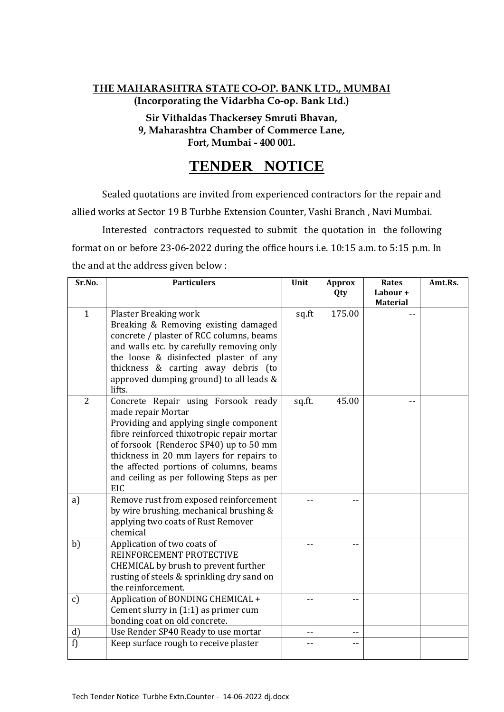# **THE MAHARASHTRA STATE CO-OP. BANK LTD., MUMBAI (Incorporating the Vidarbha Co-op. Bank Ltd.)**

**Sir Vithaldas Thackersey Smruti Bhavan, 9, Maharashtra Chamber of Commerce Lane, Fort, Mumbai - 400 001.**

# **TENDER NOTICE**

Sealed quotations are invited from experienced contractors for the repair and allied works at Sector 19 B Turbhe Extension Counter, Vashi Branch , Navi Mumbai.

Interested contractors requested to submit the quotation in the following format on or before 23-06-2022 during the office hours i.e. 10:15 a.m. to 5:15 p.m. In the and at the address given below :

| Sr.No.         | <b>Particulers</b>                                                                 | Unit   | <b>Approx</b> | <b>Rates</b>    | Amt.Rs. |
|----------------|------------------------------------------------------------------------------------|--------|---------------|-----------------|---------|
|                |                                                                                    |        | Qty           | Labour+         |         |
| $\mathbf{1}$   |                                                                                    |        | 175.00        | <b>Material</b> |         |
|                | <b>Plaster Breaking work</b><br>Breaking & Removing existing damaged               | sq.ft  |               |                 |         |
|                | concrete / plaster of RCC columns, beams                                           |        |               |                 |         |
|                | and walls etc. by carefully removing only                                          |        |               |                 |         |
|                | the loose & disinfected plaster of any                                             |        |               |                 |         |
|                | thickness & carting away debris (to                                                |        |               |                 |         |
|                | approved dumping ground) to all leads &                                            |        |               |                 |         |
|                | lifts.                                                                             |        |               |                 |         |
| $\overline{2}$ | Concrete Repair using Forsook ready                                                | sq.ft. | 45.00         |                 |         |
|                | made repair Mortar                                                                 |        |               |                 |         |
|                | Providing and applying single component                                            |        |               |                 |         |
|                | fibre reinforced thixotropic repair mortar                                         |        |               |                 |         |
|                | of forsook (Renderoc SP40) up to 50 mm<br>thickness in 20 mm layers for repairs to |        |               |                 |         |
|                | the affected portions of columns, beams                                            |        |               |                 |         |
|                | and ceiling as per following Steps as per                                          |        |               |                 |         |
|                | <b>EIC</b>                                                                         |        |               |                 |         |
| a)             | Remove rust from exposed reinforcement                                             |        |               |                 |         |
|                | by wire brushing, mechanical brushing &                                            |        |               |                 |         |
|                | applying two coats of Rust Remover                                                 |        |               |                 |         |
|                | chemical                                                                           |        |               |                 |         |
| b)             | Application of two coats of                                                        |        |               |                 |         |
|                | REINFORCEMENT PROTECTIVE                                                           |        |               |                 |         |
|                | CHEMICAL by brush to prevent further                                               |        |               |                 |         |
|                | rusting of steels & sprinkling dry sand on<br>the reinforcement.                   |        |               |                 |         |
| c)             | Application of BONDING CHEMICAL +                                                  |        |               |                 |         |
|                | Cement slurry in (1:1) as primer cum                                               |        |               |                 |         |
|                | bonding coat on old concrete.                                                      |        |               |                 |         |
| d)             | Use Render SP40 Ready to use mortar                                                |        |               |                 |         |
| f)             | Keep surface rough to receive plaster                                              |        | --            |                 |         |
|                |                                                                                    |        |               |                 |         |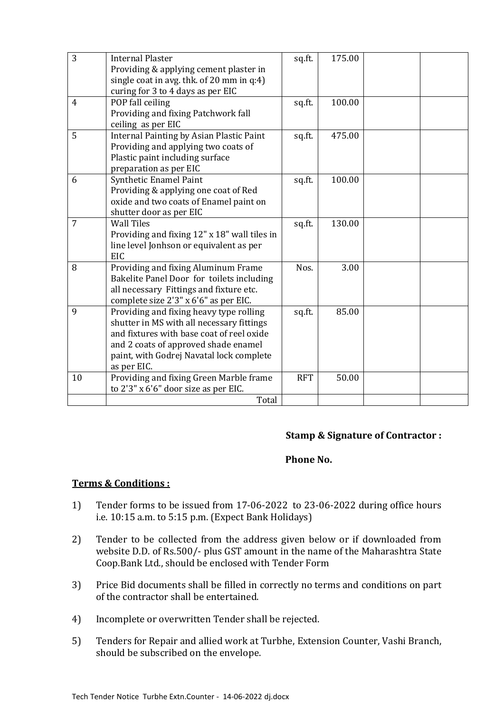| 3              | <b>Internal Plaster</b>                      | sq.ft.     | 175.00 |  |
|----------------|----------------------------------------------|------------|--------|--|
|                | Providing & applying cement plaster in       |            |        |  |
|                | single coat in avg. thk. of 20 mm in q:4)    |            |        |  |
|                | curing for 3 to 4 days as per EIC            |            |        |  |
| $\overline{4}$ | POP fall ceiling                             | sq.ft.     | 100.00 |  |
|                | Providing and fixing Patchwork fall          |            |        |  |
|                | ceiling as per EIC                           |            |        |  |
| 5              | Internal Painting by Asian Plastic Paint     | sq.ft.     | 475.00 |  |
|                | Providing and applying two coats of          |            |        |  |
|                | Plastic paint including surface              |            |        |  |
|                | preparation as per EIC                       |            |        |  |
| 6              | <b>Synthetic Enamel Paint</b>                | sq.ft.     | 100.00 |  |
|                | Providing & applying one coat of Red         |            |        |  |
|                | oxide and two coats of Enamel paint on       |            |        |  |
|                | shutter door as per EIC                      |            |        |  |
| 7              | <b>Wall Tiles</b>                            | sq.ft.     | 130.00 |  |
|                | Providing and fixing 12" x 18" wall tiles in |            |        |  |
|                | line level Jonhson or equivalent as per      |            |        |  |
|                | EIC                                          |            |        |  |
| 8              | Providing and fixing Aluminum Frame          | Nos.       | 3.00   |  |
|                | Bakelite Panel Door for toilets including    |            |        |  |
|                | all necessary Fittings and fixture etc.      |            |        |  |
|                | complete size 2'3" x 6'6" as per EIC.        |            |        |  |
| 9              | Providing and fixing heavy type rolling      | sq.ft.     | 85.00  |  |
|                | shutter in MS with all necessary fittings    |            |        |  |
|                | and fixtures with base coat of reel oxide    |            |        |  |
|                | and 2 coats of approved shade enamel         |            |        |  |
|                | paint, with Godrej Navatal lock complete     |            |        |  |
|                | as per EIC.                                  |            |        |  |
| 10             | Providing and fixing Green Marble frame      | <b>RFT</b> | 50.00  |  |
|                | to 2'3" x 6'6" door size as per EIC.         |            |        |  |
|                | Total                                        |            |        |  |

## **Stamp & Signature of Contractor :**

### **Phone No.**

#### **Terms & Conditions :**

- 1) Tender forms to be issued from 17-06-2022 to 23-06-2022 during office hours i.e. 10:15 a.m. to 5:15 p.m. (Expect Bank Holidays)
- 2) Tender to be collected from the address given below or if downloaded from website D.D. of Rs.500/- plus GST amount in the name of the Maharashtra State Coop.Bank Ltd., should be enclosed with Tender Form
- 3) Price Bid documents shall be filled in correctly no terms and conditions on part of the contractor shall be entertained.
- 4) Incomplete or overwritten Tender shall be rejected.
- 5) Tenders for Repair and allied work at Turbhe, Extension Counter, Vashi Branch, should be subscribed on the envelope.